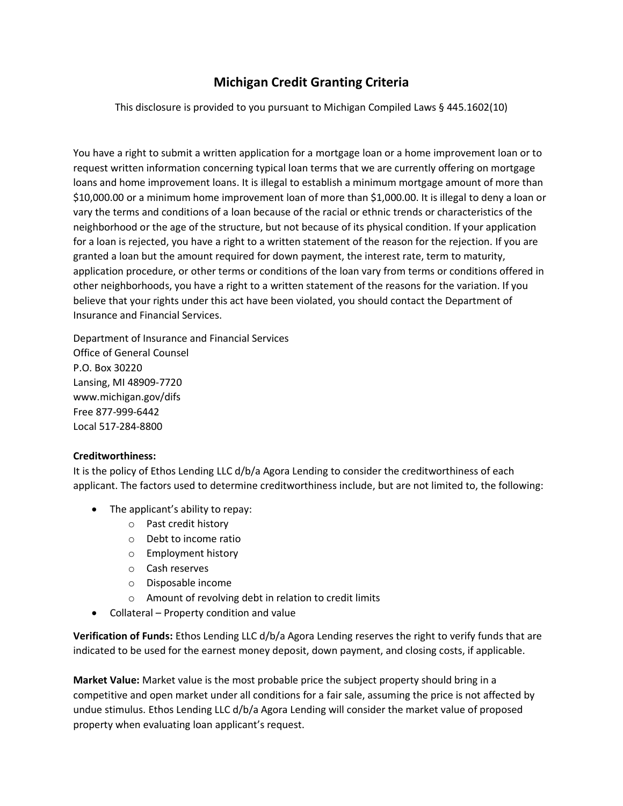# **Michigan Credit Granting Criteria**

This disclosure is provided to you pursuant to Michigan Compiled Laws § 445.1602(10)

You have a right to submit a written application for a mortgage loan or a home improvement loan or to request written information concerning typical loan terms that we are currently offering on mortgage loans and home improvement loans. It is illegal to establish a minimum mortgage amount of more than \$10,000.00 or a minimum home improvement loan of more than \$1,000.00. It is illegal to deny a loan or vary the terms and conditions of a loan because of the racial or ethnic trends or characteristics of the neighborhood or the age of the structure, but not because of its physical condition. If your application for a loan is rejected, you have a right to a written statement of the reason for the rejection. If you are granted a loan but the amount required for down payment, the interest rate, term to maturity, application procedure, or other terms or conditions of the loan vary from terms or conditions offered in other neighborhoods, you have a right to a written statement of the reasons for the variation. If you believe that your rights under this act have been violated, you should contact the Department of Insurance and Financial Services.

Department of Insurance and Financial Services Office of General Counsel P.O. Box 30220 Lansing, MI 48909-7720 www.michigan.gov/difs Free 877-999-6442 Local 517-284-8800

# **Creditworthiness:**

It is the policy of Ethos Lending LLC d/b/a Agora Lending to consider the creditworthiness of each applicant. The factors used to determine creditworthiness include, but are not limited to, the following:

- The applicant's ability to repay:
	- o Past credit history
	- o Debt to income ratio
	- o Employment history
	- o Cash reserves
	- o Disposable income
	- o Amount of revolving debt in relation to credit limits
- Collateral Property condition and value

**Verification of Funds:** Ethos Lending LLC d/b/a Agora Lending reserves the right to verify funds that are indicated to be used for the earnest money deposit, down payment, and closing costs, if applicable.

**Market Value:** Market value is the most probable price the subject property should bring in a competitive and open market under all conditions for a fair sale, assuming the price is not affected by undue stimulus. Ethos Lending LLC d/b/a Agora Lending will consider the market value of proposed property when evaluating loan applicant's request.